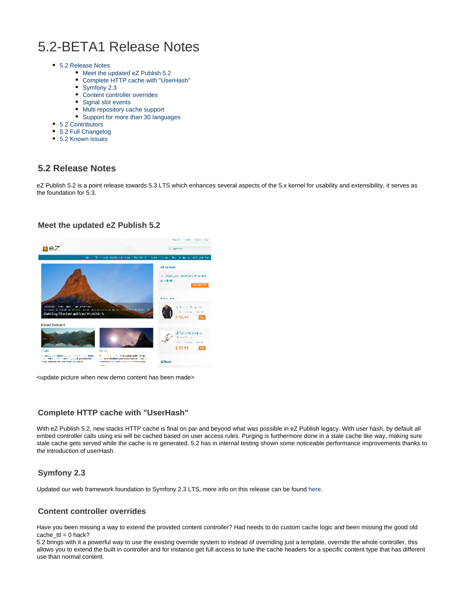# 5.2-BETA1 Release Notes

- [5.2 Release Notes](#page-0-0)
	- [Meet the updated eZ Publish 5.2](#page-0-1)
	- [Complete HTTP cache with "UserHash"](#page-0-2)
	- [Symfony 2.3](#page-0-3)
	- [Content controller overrides](#page-0-4)
	- [Signal slot events](#page-0-5)
	- [Multi repository cache support](#page-1-0)
	- [Support for more than 30 languages](#page-1-1)
- [5.2 Contributors](#page-1-2)
- [5.2 Full Changelog](#page-1-3)
- [5.2 Known issues](#page-1-4)

# <span id="page-0-0"></span>**5.2 Release Notes**

eZ Publish 5.2 is a point release towards 5.3 LTS which enhances several aspects of the 5.x kernel for usability and extensibility, it serves as the foundation for 5.3.

### **Meet the updated eZ Publish 5.2**

<span id="page-0-1"></span>

<update picture when new demo content has been made>

## <span id="page-0-2"></span>**Complete HTTP cache with "UserHash"**

With eZ Publish 5.2, new stacks HTTP cache is final on par and beyond what was possible in eZ Publish legacy. With user hash, by default all embed controller calls using esi will be cached based on user access rules. Purging is furthermore done in a stale cache like way, making sure stale cache gets served while the cache is re generated. 5.2 has in internal testing shown some noticeable performance improvements thanks to the introduction of userHash.

## <span id="page-0-3"></span>**Symfony 2.3**

Updated our web framework foundation to Symfony 2.3 LTS, more info on this release can be found [here](http://symfony.com/blog/symfony-2-3-0-the-first-lts-is-now-available).

### <span id="page-0-4"></span>**Content controller overrides**

Have you been missing a way to extend the provided content controller? Had needs to do custom cache logic and been missing the good old cache\_ttl =  $0$  hack?

<span id="page-0-5"></span>5.2 brings with it a powerful way to use the existing override system to instead of overriding just a template, override the whole controller, this allows you to extend the built in controller and for instance get full access to tune the cache headers for a specific content type that has different use than normal content.